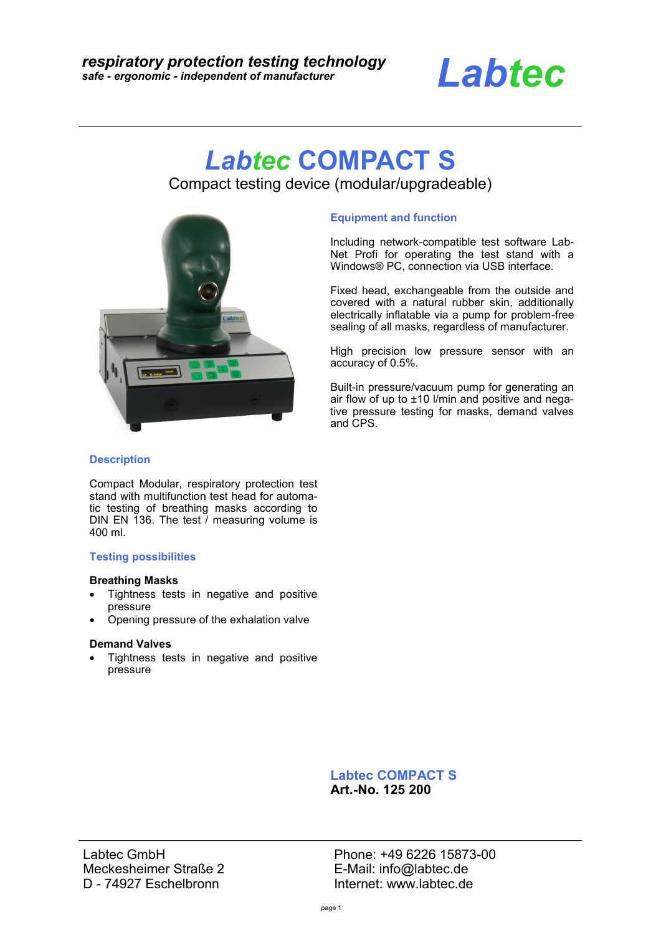

# *Labtec* **COMPACT S**

Compact testing device (modular/upgradeable)



### **Equipment and function**

Including network-compatible test software Lab-Net Profi for operating the test stand with a Windows® PC, connection via USB interface.

Fixed head, exchangeable from the outside and covered with a natural rubber skin, additionally electrically inflatable via a pump for problem-free sealing of all masks, regardless of manufacturer.

High precision low pressure sensor with an accuracy of 0.5%.

Built-in pressure/vacuum pump for generating an air flow of up to ±10 l/min and positive and negative pressure testing for masks, demand valves and CPS.

## **Description**

Compact Modular, respiratory protection test stand with multifunction test head for automatic testing of breathing masks according to DIN EN 136. The test / measuring volume is 400 ml.

### **Testing possibilities**

### **Breathing Masks**

- Tightness tests in negative and positive pressure
- Opening pressure of the exhalation valve

### **Demand Valves**

• Tightness tests in negative and positive pressure

> **Labtec COMPACT S Art.-No. 125 200**

Labtec GmbH Meckesheimer Straße 2 D - 74927 Eschelbronn